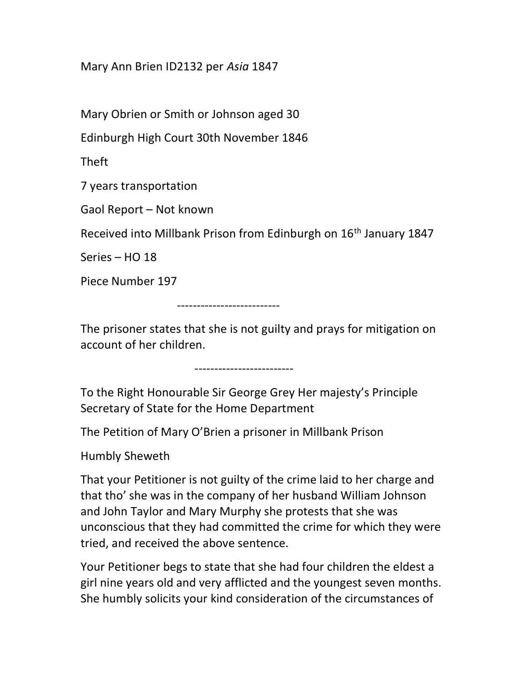## Mary Ann Brien ID2132 per Asia 1847

Mary Obrien or Smith or Johnson aged 30

Edinburgh High Court 30th November 1846

Theft

7 years transportation

Gaol Report – Not known

Received into Millbank Prison from Edinburgh on 16th January 1847

Series – HO 18

Piece Number 197

--------------------------

The prisoner states that she is not guilty and prays for mitigation on account of her children.

-------------------------

To the Right Honourable Sir George Grey Her majesty's Principle Secretary of State for the Home Department

The Petition of Mary O'Brien a prisoner in Millbank Prison

Humbly Sheweth

That your Petitioner is not guilty of the crime laid to her charge and that tho' she was in the company of her husband William Johnson and John Taylor and Mary Murphy she protests that she was unconscious that they had committed the crime for which they were tried, and received the above sentence.

Your Petitioner begs to state that she had four children the eldest a girl nine years old and very afflicted and the youngest seven months. She humbly solicits your kind consideration of the circumstances of